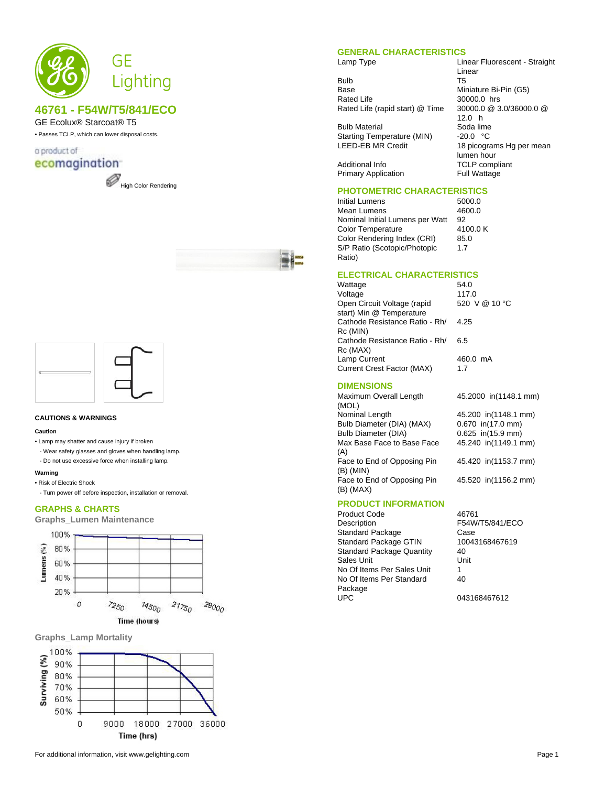

# **46761 - F54W/T5/841/ECO**

# GE Ecolux® Starcoat® T5

• Passes TCLP, which can lower disposal costs.

## a product of ecomagination







#### **CAUTIONS & WARNINGS**

#### **Caution**

- Lamp may shatter and cause injury if broken
- Wear safety glasses and gloves when handling lamp.
- Do not use excessive force when installing lamp.

#### **Warning**

- Risk of Electric Shock
- Turn power off before inspection, installation or removal.

### **GRAPHS & CHARTS**

**Graphs\_Lumen Maintenance**







#### **GENERAL CHARACTERISTICS**

Lamp Type Linear Fluorescent - Straight

Bulb T5<br>Base Mir Rated Life 30000.0 hrs<br>Rated Life (rapid start) @ Time 30000.0 @ 3.0/36000.0 @ Rated Life (rapid start) @ Time

Bulb Material Soda lime<br>Starting Temperature (MIN) -20.0 °C Starting Temperature (MIN)<br>LEED-EB MR Credit

Miniature Bi-Pin (G5) 12.0 h 18 picograms Hg per mean lumen hour Additional Info **TCLP** compliant Primary Application Full Wattage

# **PHOTOMETRIC CHARACTERISTICS**

Initial Lumens<br>
Mean Lumens
1600.0
16200.0
16200.0
16200.0
16200.0 Mean Lumens Nominal Initial Lumens per Watt 92<br>Color Temperature 4100.0 K Color Temperature Color Rendering Index (CRI) 85.0 S/P Ratio (Scotopic/Photopic Ratio)

1.7

Linear

#### **ELECTRICAL CHARACTERISTICS**

| 54.0          |
|---------------|
| 117.0         |
| 520 V @ 10 °C |
|               |
| 4.25          |
|               |
| 6.5           |
|               |
| 460.0 mA      |
| 1.7           |
|               |

#### **DIMENSIONS**

Maximum Overall Length (MOL)<br>Nominal Length Bulb Diameter (DIA) (MAX) 0.670 in(17.0 mm)<br>Bulb Diameter (DIA) 0.625 in(15.9 mm) Max Base Face to Base Face (A) Face to End of Opposing Pin (B) (MIN) Face to End of Opposing Pin (B) (MAX)

45.2000 in(1148.1 mm) 45.200 in(1148.1 mm)  $0.625$  in(15.9 mm) 45.240 in(1149.1 mm) 45.420 in(1153.7 mm)

45.520 in(1156.2 mm)

### **PRODUCT INFORMATION**

Product Code 46761<br>Description F54W Standard Package Case<br>
Standard Package GTIN 10043168467619 Standard Package GTIN 1004<br>Standard Package Quantity 40 Standard Package Quantity Sales Unit **Unit** Unit No Of Items Per Sales Unit 1 No Of Items Per Standard Package<br>UPC

F54W/T5/841/ECO 40

043168467612